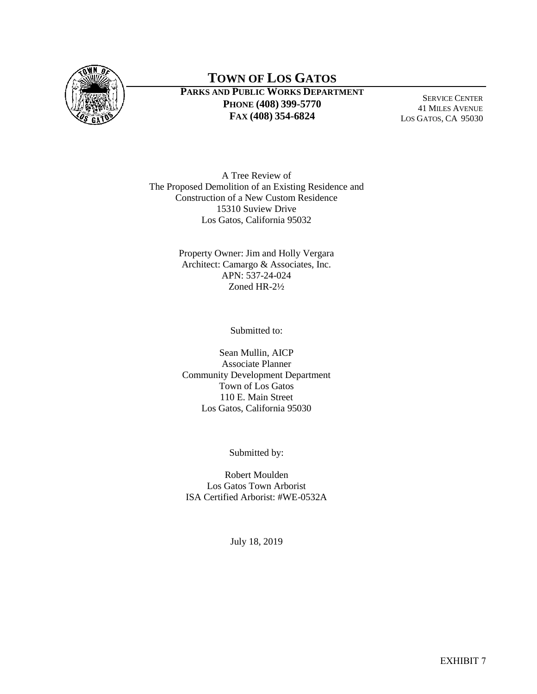

SERVICE CENTER 41 MILES AVENUE LOS GATOS, CA 95030

A Tree Review of The Proposed Demolition of an Existing Residence and Construction of a New Custom Residence 15310 Suview Drive Los Gatos, California 95032

> Property Owner: Jim and Holly Vergara Architect: Camargo & Associates, Inc. APN: 537-24-024 Zoned HR-2½

> > Submitted to:

Sean Mullin, AICP Associate Planner Community Development Department Town of Los Gatos 110 E. Main Street Los Gatos, California 95030

Submitted by:

Robert Moulden Los Gatos Town Arborist ISA Certified Arborist: #WE-0532A

July 18, 2019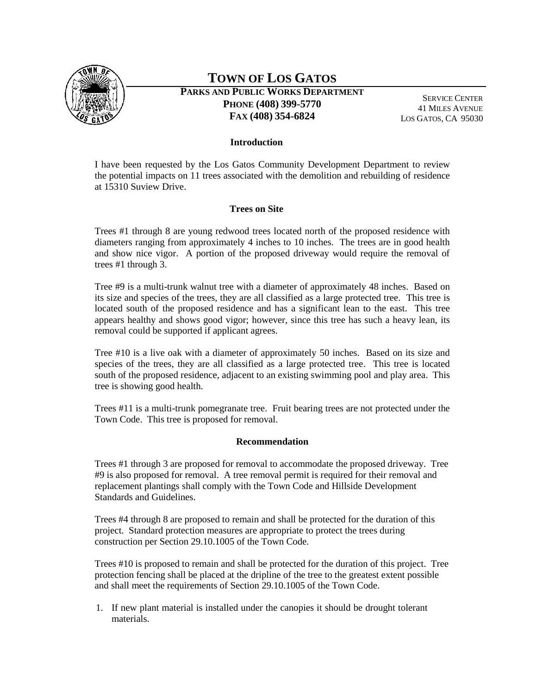

## **TOWN OF LOS GATOS**

**PARKS AND PUBLIC WORKS DEPARTMENT PHONE (408) 399-5770 FAX (408) 354-6824**

SERVICE CENTER 41 MILES AVENUE LOS GATOS, CA 95030

### **Introduction**

I have been requested by the Los Gatos Community Development Department to review the potential impacts on 11 trees associated with the demolition and rebuilding of residence at 15310 Suview Drive.

### **Trees on Site**

Trees #1 through 8 are young redwood trees located north of the proposed residence with diameters ranging from approximately 4 inches to 10 inches. The trees are in good health and show nice vigor. A portion of the proposed driveway would require the removal of trees #1 through 3.

Tree #9 is a multi-trunk walnut tree with a diameter of approximately 48 inches. Based on its size and species of the trees, they are all classified as a large protected tree. This tree is located south of the proposed residence and has a significant lean to the east. This tree appears healthy and shows good vigor; however, since this tree has such a heavy lean, its removal could be supported if applicant agrees.

Tree #10 is a live oak with a diameter of approximately 50 inches. Based on its size and species of the trees, they are all classified as a large protected tree. This tree is located south of the proposed residence, adjacent to an existing swimming pool and play area. This tree is showing good health.

Trees #11 is a multi-trunk pomegranate tree. Fruit bearing trees are not protected under the Town Code. This tree is proposed for removal.

#### **Recommendation**

Trees #1 through 3 are proposed for removal to accommodate the proposed driveway. Tree #9 is also proposed for removal. A tree removal permit is required for their removal and replacement plantings shall comply with the Town Code and Hillside Development Standards and Guidelines.

Trees #4 through 8 are proposed to remain and shall be protected for the duration of this project. Standard protection measures are appropriate to protect the trees during construction per Section 29.10.1005 of the Town Code.

Trees #10 is proposed to remain and shall be protected for the duration of this project. Tree protection fencing shall be placed at the dripline of the tree to the greatest extent possible and shall meet the requirements of Section 29.10.1005 of the Town Code.

1. If new plant material is installed under the canopies it should be drought tolerant materials.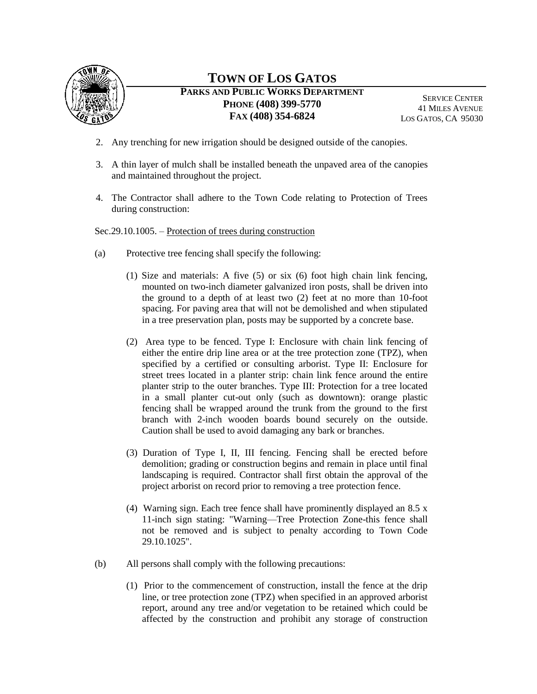

# **TOWN OF LOS GATOS**

**PARKS AND PUBLIC WORKS DEPARTMENT PHONE (408) 399-5770 FAX (408) 354-6824**

SERVICE CENTER 41 MILES AVENUE LOS GATOS, CA 95030

- 2. Any trenching for new irrigation should be designed outside of the canopies.
- 3. A thin layer of mulch shall be installed beneath the unpaved area of the canopies and maintained throughout the project.
- 4. The Contractor shall adhere to the Town Code relating to Protection of Trees during construction:

### Sec.29.10.1005. – Protection of trees during construction

- (a) Protective tree fencing shall specify the following:
	- (1) Size and materials: A five (5) or six (6) foot high chain link fencing, mounted on two-inch diameter galvanized iron posts, shall be driven into the ground to a depth of at least two (2) feet at no more than 10-foot spacing. For paving area that will not be demolished and when stipulated in a tree preservation plan, posts may be supported by a concrete base.
	- (2) Area type to be fenced. Type I: Enclosure with chain link fencing of either the entire drip line area or at the tree protection zone (TPZ), when specified by a certified or consulting arborist. Type II: Enclosure for street trees located in a planter strip: chain link fence around the entire planter strip to the outer branches. Type III: Protection for a tree located in a small planter cut-out only (such as downtown): orange plastic fencing shall be wrapped around the trunk from the ground to the first branch with 2-inch wooden boards bound securely on the outside. Caution shall be used to avoid damaging any bark or branches.
	- (3) Duration of Type I, II, III fencing. Fencing shall be erected before demolition; grading or construction begins and remain in place until final landscaping is required. Contractor shall first obtain the approval of the project arborist on record prior to removing a tree protection fence.
	- (4) Warning sign. Each tree fence shall have prominently displayed an 8.5 x 11-inch sign stating: "Warning—Tree Protection Zone-this fence shall not be removed and is subject to penalty according to Town Code 29.10.1025".
- (b) All persons shall comply with the following precautions:
	- (1) Prior to the commencement of construction, install the fence at the drip line, or tree protection zone (TPZ) when specified in an approved arborist report, around any tree and/or vegetation to be retained which could be affected by the construction and prohibit any storage of construction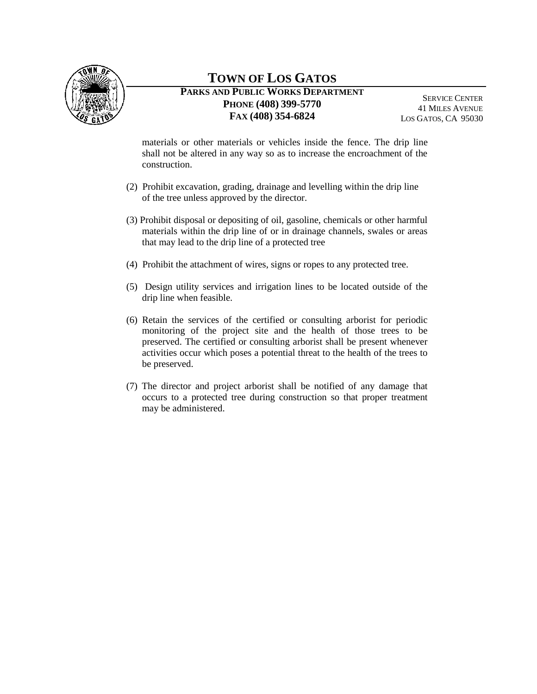

SERVICE CENTER 41 MILES AVENUE LOS GATOS, CA 95030

materials or other materials or vehicles inside the fence. The drip line shall not be altered in any way so as to increase the encroachment of the construction.

- (2) Prohibit excavation, grading, drainage and levelling within the drip line of the tree unless approved by the director.
- (3) Prohibit disposal or depositing of oil, gasoline, chemicals or other harmful materials within the drip line of or in drainage channels, swales or areas that may lead to the drip line of a protected tree
- (4) Prohibit the attachment of wires, signs or ropes to any protected tree.
- (5) Design utility services and irrigation lines to be located outside of the drip line when feasible.
- (6) Retain the services of the certified or consulting arborist for periodic monitoring of the project site and the health of those trees to be preserved. The certified or consulting arborist shall be present whenever activities occur which poses a potential threat to the health of the trees to be preserved.
- (7) The director and project arborist shall be notified of any damage that occurs to a protected tree during construction so that proper treatment may be administered.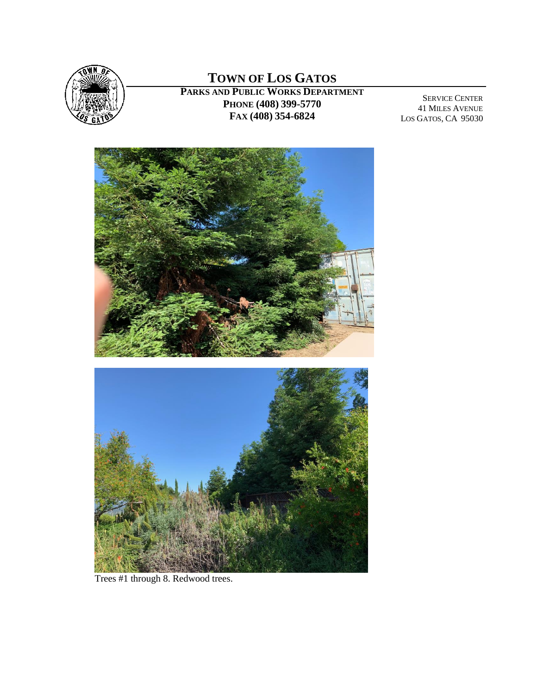

SERVICE CENTER 41 MILES AVENUE LOS GATOS, CA 95030



Trees #1 through 8. Redwood trees.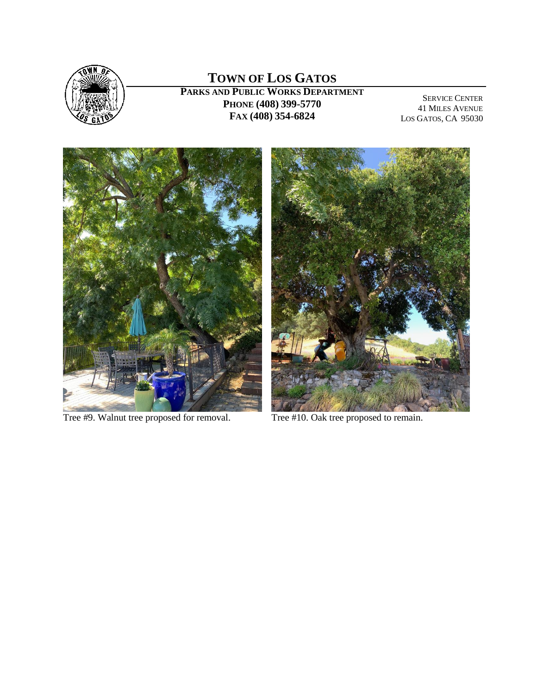

SERVICE CENTER 41 MILES AVENUE LOS GATOS, CA 95030



Tree #9. Walnut tree proposed for removal. Tree #10. Oak tree proposed to remain.